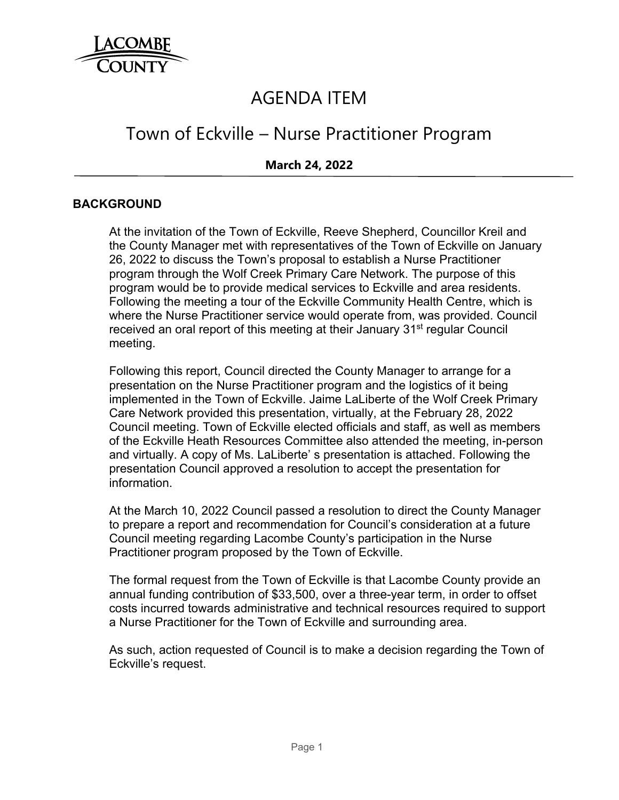

# AGENDA ITEM

# Town of Eckville – Nurse Practitioner Program

## **March 24, 2022**

#### **BACKGROUND**

At the invitation of the Town of Eckville, Reeve Shepherd, Councillor Kreil and the County Manager met with representatives of the Town of Eckville on January 26, 2022 to discuss the Town's proposal to establish a Nurse Practitioner program through the Wolf Creek Primary Care Network. The purpose of this program would be to provide medical services to Eckville and area residents. Following the meeting a tour of the Eckville Community Health Centre, which is where the Nurse Practitioner service would operate from, was provided. Council received an oral report of this meeting at their January 31<sup>st</sup> regular Council meeting.

Following this report, Council directed the County Manager to arrange for a presentation on the Nurse Practitioner program and the logistics of it being implemented in the Town of Eckville. Jaime LaLiberte of the Wolf Creek Primary Care Network provided this presentation, virtually, at the February 28, 2022 Council meeting. Town of Eckville elected officials and staff, as well as members of the Eckville Heath Resources Committee also attended the meeting, in-person and virtually. A copy of Ms. LaLiberte' s presentation is attached. Following the presentation Council approved a resolution to accept the presentation for information.

At the March 10, 2022 Council passed a resolution to direct the County Manager to prepare a report and recommendation for Council's consideration at a future Council meeting regarding Lacombe County's participation in the Nurse Practitioner program proposed by the Town of Eckville.

The formal request from the Town of Eckville is that Lacombe County provide an annual funding contribution of \$33,500, over a three-year term, in order to offset costs incurred towards administrative and technical resources required to support a Nurse Practitioner for the Town of Eckville and surrounding area.

As such, action requested of Council is to make a decision regarding the Town of Eckville's request.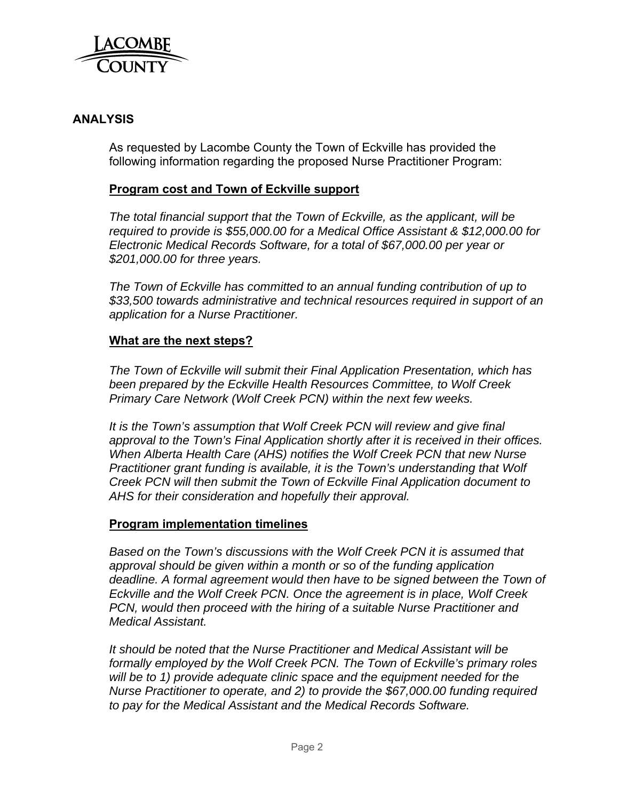

## **ANALYSIS**

As requested by Lacombe County the Town of Eckville has provided the following information regarding the proposed Nurse Practitioner Program:

## **Program cost and Town of Eckville support**

*The total financial support that the Town of Eckville, as the applicant, will be required to provide is \$55,000.00 for a Medical Office Assistant & \$12,000.00 for Electronic Medical Records Software, for a total of \$67,000.00 per year or \$201,000.00 for three years.* 

*The Town of Eckville has committed to an annual funding contribution of up to \$33,500 towards administrative and technical resources required in support of an application for a Nurse Practitioner.* 

## **What are the next steps?**

*The Town of Eckville will submit their Final Application Presentation, which has been prepared by the Eckville Health Resources Committee, to Wolf Creek Primary Care Network (Wolf Creek PCN) within the next few weeks.* 

*It is the Town's assumption that Wolf Creek PCN will review and give final approval to the Town's Final Application shortly after it is received in their offices. When Alberta Health Care (AHS) notifies the Wolf Creek PCN that new Nurse Practitioner grant funding is available, it is the Town's understanding that Wolf Creek PCN will then submit the Town of Eckville Final Application document to AHS for their consideration and hopefully their approval.*

## **Program implementation timelines**

*Based on the Town's discussions with the Wolf Creek PCN it is assumed that approval should be given within a month or so of the funding application deadline. A formal agreement would then have to be signed between the Town of Eckville and the Wolf Creek PCN. Once the agreement is in place, Wolf Creek PCN, would then proceed with the hiring of a suitable Nurse Practitioner and Medical Assistant.* 

*It should be noted that the Nurse Practitioner and Medical Assistant will be formally employed by the Wolf Creek PCN. The Town of Eckville's primary roles will be to 1) provide adequate clinic space and the equipment needed for the Nurse Practitioner to operate, and 2) to provide the \$67,000.00 funding required to pay for the Medical Assistant and the Medical Records Software.*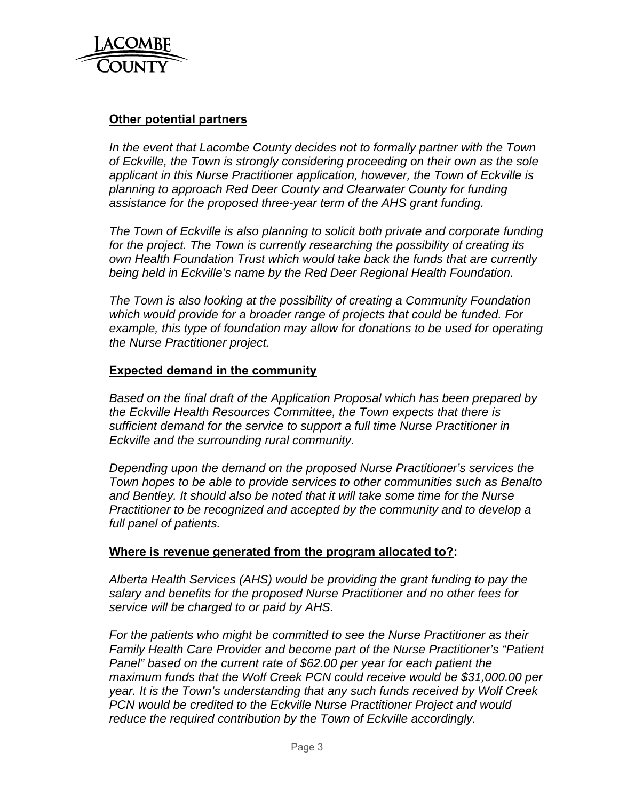

## **Other potential partners**

*In the event that Lacombe County decides not to formally partner with the Town of Eckville, the Town is strongly considering proceeding on their own as the sole applicant in this Nurse Practitioner application, however, the Town of Eckville is planning to approach Red Deer County and Clearwater County for funding assistance for the proposed three-year term of the AHS grant funding.* 

*The Town of Eckville is also planning to solicit both private and corporate funding for the project. The Town is currently researching the possibility of creating its own Health Foundation Trust which would take back the funds that are currently being held in Eckville's name by the Red Deer Regional Health Foundation.* 

*The Town is also looking at the possibility of creating a Community Foundation which would provide for a broader range of projects that could be funded. For example, this type of foundation may allow for donations to be used for operating the Nurse Practitioner project.*

#### **Expected demand in the community**

*Based on the final draft of the Application Proposal which has been prepared by the Eckville Health Resources Committee, the Town expects that there is sufficient demand for the service to support a full time Nurse Practitioner in Eckville and the surrounding rural community.* 

*Depending upon the demand on the proposed Nurse Practitioner's services the Town hopes to be able to provide services to other communities such as Benalto and Bentley. It should also be noted that it will take some time for the Nurse Practitioner to be recognized and accepted by the community and to develop a full panel of patients.*

#### **Where is revenue generated from the program allocated to?:**

*Alberta Health Services (AHS) would be providing the grant funding to pay the salary and benefits for the proposed Nurse Practitioner and no other fees for service will be charged to or paid by AHS.* 

*For the patients who might be committed to see the Nurse Practitioner as their Family Health Care Provider and become part of the Nurse Practitioner's "Patient Panel" based on the current rate of \$62.00 per year for each patient the maximum funds that the Wolf Creek PCN could receive would be \$31,000.00 per year. It is the Town's understanding that any such funds received by Wolf Creek PCN would be credited to the Eckville Nurse Practitioner Project and would reduce the required contribution by the Town of Eckville accordingly.*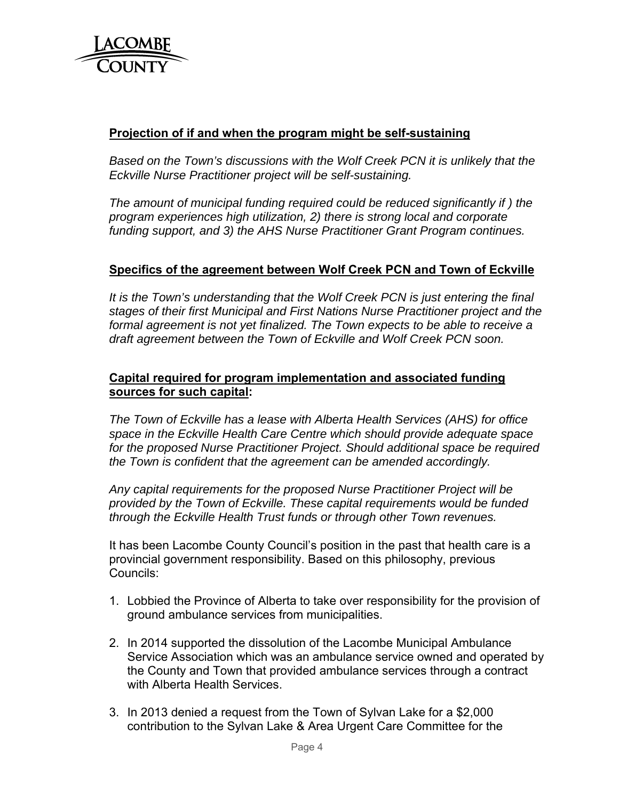

## **Projection of if and when the program might be self-sustaining**

*Based on the Town's discussions with the Wolf Creek PCN it is unlikely that the Eckville Nurse Practitioner project will be self-sustaining.* 

*The amount of municipal funding required could be reduced significantly if ) the program experiences high utilization, 2) there is strong local and corporate funding support, and 3) the AHS Nurse Practitioner Grant Program continues.*

# **Specifics of the agreement between Wolf Creek PCN and Town of Eckville**

*It is the Town's understanding that the Wolf Creek PCN is just entering the final stages of their first Municipal and First Nations Nurse Practitioner project and the formal agreement is not yet finalized. The Town expects to be able to receive a draft agreement between the Town of Eckville and Wolf Creek PCN soon.* 

## **Capital required for program implementation and associated funding sources for such capital:**

*The Town of Eckville has a lease with Alberta Health Services (AHS) for office space in the Eckville Health Care Centre which should provide adequate space for the proposed Nurse Practitioner Project. Should additional space be required the Town is confident that the agreement can be amended accordingly.* 

*Any capital requirements for the proposed Nurse Practitioner Project will be provided by the Town of Eckville. These capital requirements would be funded through the Eckville Health Trust funds or through other Town revenues.*

It has been Lacombe County Council's position in the past that health care is a provincial government responsibility. Based on this philosophy, previous Councils:

- 1. Lobbied the Province of Alberta to take over responsibility for the provision of ground ambulance services from municipalities.
- 2. In 2014 supported the dissolution of the Lacombe Municipal Ambulance Service Association which was an ambulance service owned and operated by the County and Town that provided ambulance services through a contract with Alberta Health Services.
- 3. In 2013 denied a request from the Town of Sylvan Lake for a \$2,000 contribution to the Sylvan Lake & Area Urgent Care Committee for the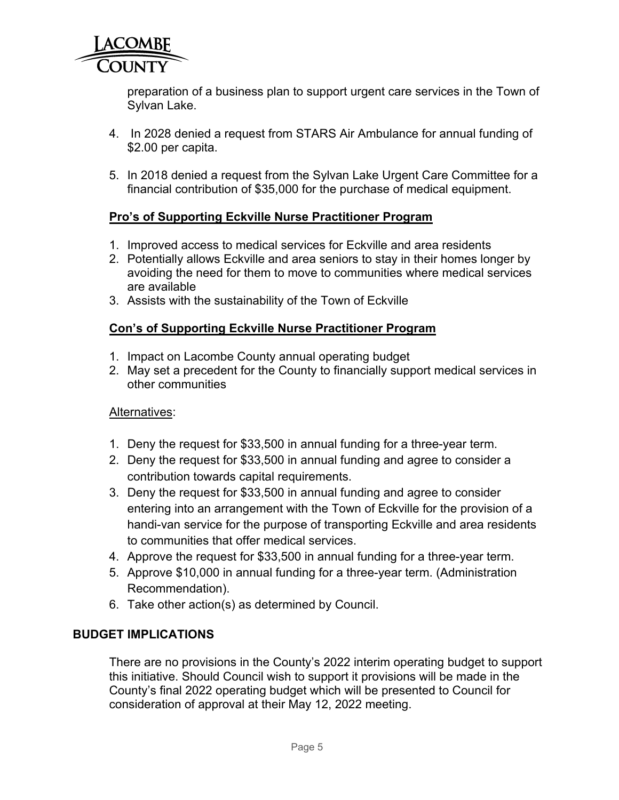

preparation of a business plan to support urgent care services in the Town of Sylvan Lake.

- 4. In 2028 denied a request from STARS Air Ambulance for annual funding of \$2.00 per capita.
- 5. In 2018 denied a request from the Sylvan Lake Urgent Care Committee for a financial contribution of \$35,000 for the purchase of medical equipment.

# **Pro's of Supporting Eckville Nurse Practitioner Program**

- 1. Improved access to medical services for Eckville and area residents
- 2. Potentially allows Eckville and area seniors to stay in their homes longer by avoiding the need for them to move to communities where medical services are available
- 3. Assists with the sustainability of the Town of Eckville

# **Con's of Supporting Eckville Nurse Practitioner Program**

- 1. Impact on Lacombe County annual operating budget
- 2. May set a precedent for the County to financially support medical services in other communities

## Alternatives:

- 1. Deny the request for \$33,500 in annual funding for a three-year term.
- 2. Deny the request for \$33,500 in annual funding and agree to consider a contribution towards capital requirements.
- 3. Deny the request for \$33,500 in annual funding and agree to consider entering into an arrangement with the Town of Eckville for the provision of a handi-van service for the purpose of transporting Eckville and area residents to communities that offer medical services.
- 4. Approve the request for \$33,500 in annual funding for a three-year term.
- 5. Approve \$10,000 in annual funding for a three-year term. (Administration Recommendation).
- 6. Take other action(s) as determined by Council.

# **BUDGET IMPLICATIONS**

There are no provisions in the County's 2022 interim operating budget to support this initiative. Should Council wish to support it provisions will be made in the County's final 2022 operating budget which will be presented to Council for consideration of approval at their May 12, 2022 meeting.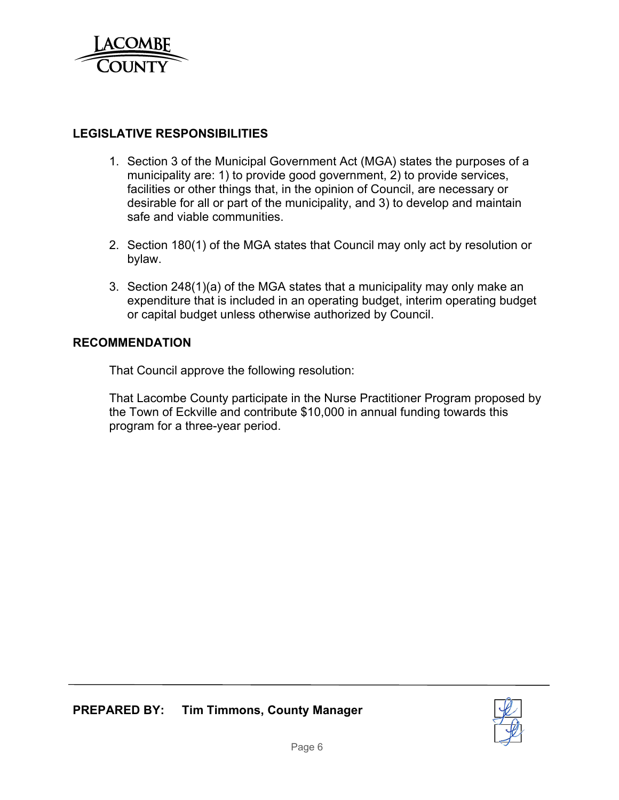

# **LEGISLATIVE RESPONSIBILITIES**

- 1. Section 3 of the Municipal Government Act (MGA) states the purposes of a municipality are: 1) to provide good government, 2) to provide services, facilities or other things that, in the opinion of Council, are necessary or desirable for all or part of the municipality, and 3) to develop and maintain safe and viable communities.
- 2. Section 180(1) of the MGA states that Council may only act by resolution or bylaw.
- 3. Section 248(1)(a) of the MGA states that a municipality may only make an expenditure that is included in an operating budget, interim operating budget or capital budget unless otherwise authorized by Council.

## **RECOMMENDATION**

That Council approve the following resolution:

That Lacombe County participate in the Nurse Practitioner Program proposed by the Town of Eckville and contribute \$10,000 in annual funding towards this program for a three-year period.